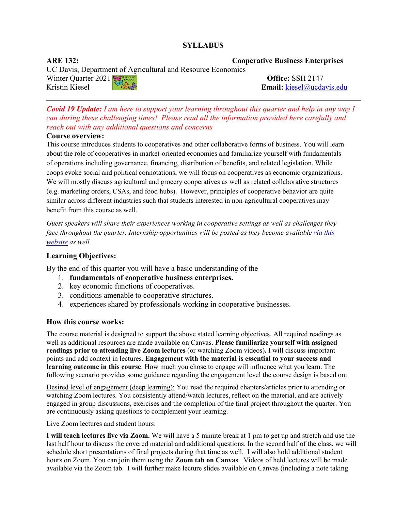# **SYLLABUS**

UC Davis, Department of Agricultural and Resource Economics

**ARE 132: Cooperative Business Enterprises**

Winter Quarter 2021 **Office:** SSH 2147<br>Kristin Kiesel Kristin Kiesel **Email:** [kiesel@ucdavis.edu](mailto:kiesel@ucdavis.edu)

*Covid 19 Update: I am here to support your learning throughout this quarter and help in any way I can during these challenging times! Please read all the information provided here carefully and reach out with any additional questions and concerns*

## **Course overview:**

This course introduces students to cooperatives and other collaborative forms of business. You will learn about the role of cooperatives in market-oriented economies and familiarize yourself with fundamentals of operations including governance, financing, distribution of benefits, and related legislation. While coops evoke social and political connotations, we will focus on cooperatives as economic organizations. We will mostly discuss agricultural and grocery cooperatives as well as related collaborative structures (e.g. marketing orders, CSAs, and food hubs). However, principles of cooperative behavior are quite similar across different industries such that students interested in non-agricultural cooperatives may benefit from this course as well.

*Guest speakers will share their experiences working in cooperative settings as well as challenges they face throughout the quarter. Internship opportunities will be posted as they become available [via this](https://managerialeconomics.ucdavis.edu/co-op-industry-internship)  [website](https://managerialeconomics.ucdavis.edu/co-op-industry-internship) as well.* 

## **Learning Objectives:**

By the end of this quarter you will have a basic understanding of the

- 1. **fundamentals of cooperative business enterprises.**
- 2. key economic functions of cooperatives.
- 3. conditions amenable to cooperative structures.
- 4. experiences shared by professionals working in cooperative businesses.

## **How this course works:**

The course material is designed to support the above stated learning objectives. All required readings as well as additional resources are made available on Canvas. **Please familiarize yourself with assigned readings prior to attending live Zoom lectures** (or watching Zoom videos)**.** I will discuss important points and add context in lectures. **Engagement with the material is essential to your success and learning outcome in this course**. How much you chose to engage will influence what you learn. The following scenario provides some guidance regarding the engagement level the course design is based on:

Desired level of engagement (deep learning): You read the required chapters/articles prior to attending or watching Zoom lectures. You consistently attend/watch lectures, reflect on the material, and are actively engaged in group discussions, exercises and the completion of the final project throughout the quarter. You are continuously asking questions to complement your learning.

## Live Zoom lectures and student hours:

**I will teach lectures live via Zoom.** We will have a 5 minute break at 1 pm to get up and stretch and use the last half hour to discuss the covered material and additional questions. In the second half of the class, we will schedule short presentations of final projects during that time as well. I will also hold additional student hours on Zoom. You can join them using the **Zoom tab on Canvas**. Videos of held lectures will be made available via the Zoom tab. I will further make lecture slides available on Canvas (including a note taking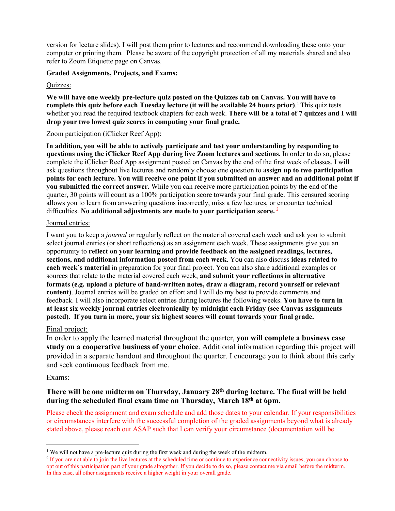version for lecture slides). I will post them prior to lectures and recommend downloading these onto your computer or printing them. Please be aware of the copyright protection of all my materials shared and also refer to Zoom Etiquette page on Canvas.

## **Graded Assignments, Projects, and Exams:**

## Quizzes:

**We will have one weekly pre-lecture quiz posted on the Quizzes tab on Canvas. You will have to complete this quiz before each Tuesday lecture (it will be available 24 hours prior)**. [1](#page-1-0) This quiz tests whether you read the required textbook chapters for each week. **There will be a total of 7 quizzes and I will drop your two lowest quiz scores in computing your final grade.**

## Zoom participation (iClicker Reef App):

**In addition, you will be able to actively participate and test your understanding by responding to questions using the iClicker Reef App during live Zoom lectures and sections.** In order to do so, please complete the iClicker Reef App assignment posted on Canvas by the end of the first week of classes. I will ask questions throughout live lectures and randomly choose one question to **assign up to two participation points for each lecture. You will receive one point if you submitted an answer and an additional point if you submitted the correct answer.** While you can receive more participation points by the end of the quarter, 30 points will count as a 100% participation score towards your final grade. This censured scoring allows you to learn from answering questions incorrectly, miss a few lectures, or encounter technical difficulties. **No additional adjustments are made to your participation score.** [2](#page-1-1)

## Journal entries:

I want you to keep a *journal* or regularly reflect on the material covered each week and ask you to submit select journal entries (or short reflections) as an assignment each week. These assignments give you an opportunity to **reflect on your learning and provide feedback on the assigned readings, lectures, sections, and additional information posted from each week**. You can also discuss **ideas related to each week's material** in preparation for your final project. You can also share additional examples or sources that relate to the material covered each week, **and submit your reflections in alternative formats (e.g. upload a picture of hand-written notes, draw a diagram, record yourself or relevant content)**. Journal entries will be graded on effort and I will do my best to provide comments and feedback. I will also incorporate select entries during lectures the following weeks. **You have to turn in at least six weekly journal entries electronically by midnight each Friday (see Canvas assignments posted). If you turn in more, your six highest scores will count towards your final grade.** 

## Final project:

In order to apply the learned material throughout the quarter, **you will complete a business case study on a cooperative business of your choice**. Additional information regarding this project will provided in a separate handout and throughout the quarter. I encourage you to think about this early and seek continuous feedback from me.

## Exams:

# **There will be one midterm on Thursday, January 28th during lecture. The final will be held during the scheduled final exam time on Thursday, March 18th at 6pm.**

Please check the assignment and exam schedule and add those dates to your calendar. If your responsibilities or circumstances interfere with the successful completion of the graded assignments beyond what is already stated above, please reach out ASAP such that I can verify your circumstance (documentation will be

<span id="page-1-0"></span><sup>&</sup>lt;sup>1</sup> We will not have a pre-lecture quiz during the first week and during the week of the midterm.

<span id="page-1-1"></span><sup>&</sup>lt;sup>2</sup> If you are not able to join the live lectures at the scheduled time or continue to experience connectivity issues, you can choose to opt out of this participation part of your grade altogether. If you decide to do so, please contact me via email before the midterm. In this case, all other assignments receive a higher weight in your overall grade.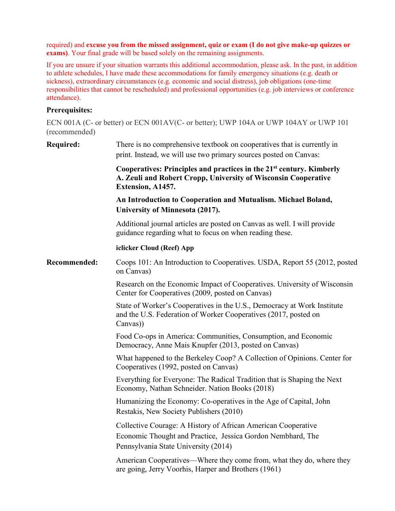required) and **excuse you from the missed assignment, quiz or exam (I do not give make-up quizzes or exams)**. Your final grade will be based solely on the remaining assignments.

If you are unsure if your situation warrants this additional accommodation, please ask. In the past, in addition to athlete schedules, I have made these accommodations for family emergency situations (e.g. death or sickness), extraordinary circumstances (e.g. economic and social distress), job obligations (one-time responsibilities that cannot be rescheduled) and professional opportunities (e.g. job interviews or conference attendance).

# **Prerequisites:**

ECN 001A (C- or better) or ECN 001AV(C- or better); UWP 104A or UWP 104AY or UWP 101 (recommended)

| <b>Required:</b>    | There is no comprehensive textbook on cooperatives that is currently in<br>print. Instead, we will use two primary sources posted on Canvas:                            |  |  |
|---------------------|-------------------------------------------------------------------------------------------------------------------------------------------------------------------------|--|--|
|                     | Cooperatives: Principles and practices in the 21 <sup>st</sup> century. Kimberly<br>A. Zeuli and Robert Cropp, University of Wisconsin Cooperative<br>Extension, A1457. |  |  |
|                     | An Introduction to Cooperation and Mutualism. Michael Boland,<br>University of Minnesota (2017).                                                                        |  |  |
|                     | Additional journal articles are posted on Canvas as well. I will provide<br>guidance regarding what to focus on when reading these.                                     |  |  |
|                     | iclicker Cloud (Reef) App                                                                                                                                               |  |  |
| <b>Recommended:</b> | Coops 101: An Introduction to Cooperatives. USDA, Report 55 (2012, posted<br>on Canvas)                                                                                 |  |  |
|                     | Research on the Economic Impact of Cooperatives. University of Wisconsin<br>Center for Cooperatives (2009, posted on Canvas)                                            |  |  |
|                     | State of Worker's Cooperatives in the U.S., Democracy at Work Institute<br>and the U.S. Federation of Worker Cooperatives (2017, posted on<br>Canvas)                   |  |  |
|                     | Food Co-ops in America: Communities, Consumption, and Economic<br>Democracy, Anne Mais Knupfer (2013, posted on Canvas)                                                 |  |  |
|                     | What happened to the Berkeley Coop? A Collection of Opinions. Center for<br>Cooperatives (1992, posted on Canvas)                                                       |  |  |
|                     | Everything for Everyone: The Radical Tradition that is Shaping the Next<br>Economy, Nathan Schneider. Nation Books (2018)                                               |  |  |
|                     | Humanizing the Economy: Co-operatives in the Age of Capital, John<br>Restakis, New Society Publishers (2010)                                                            |  |  |
|                     | Collective Courage: A History of African American Cooperative<br>Economic Thought and Practice, Jessica Gordon Nembhard, The<br>Pennsylvania State University (2014)    |  |  |
|                     | American Cooperatives—Where they come from, what they do, where they<br>are going, Jerry Voorhis, Harper and Brothers (1961)                                            |  |  |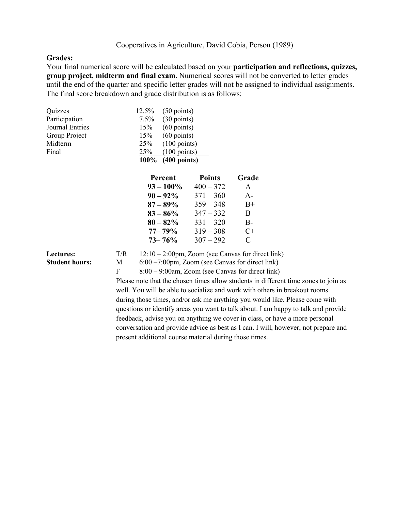## **Grades:**

Your final numerical score will be calculated based on your **participation and reflections, quizzes, group project, midterm and final exam.** Numerical scores will not be converted to letter grades until the end of the quarter and specific letter grades will not be assigned to individual assignments. The final score breakdown and grade distribution is as follows:

| Quizzes                | 12.5% | $(50 \text{ points})$  |
|------------------------|-------|------------------------|
| Participation          |       | $7.5\%$ (30 points)    |
| <b>Journal Entries</b> | 15%   | $(60$ points)          |
| Group Project          | 15%   | $(60 \text{ points})$  |
| Midterm                | 25%   | $(100 \text{ points})$ |
| Final                  | 25%   | $(100 \text{ points})$ |
|                        |       | 100% (400 points)      |

| Grade         |
|---------------|
| A             |
| $A -$         |
| $B+$          |
| B             |
| $B -$         |
| C+            |
| $\mathcal{C}$ |
|               |

Lectures: T/R 12:10 – 2:00pm, Zoom (see Canvas for direct link) **Student hours:** M 6:00 – 7:00pm, Zoom (see Canvas for direct link)

F 8:00 – 9:00am, Zoom (see Canvas for direct link) Please note that the chosen times allow students in different time zones to join as well. You will be able to socialize and work with others in breakout rooms during those times, and/or ask me anything you would like. Please come with questions or identify areas you want to talk about. I am happy to talk and provide feedback, advise you on anything we cover in class, or have a more personal conversation and provide advice as best as I can. I will, however, not prepare and present additional course material during those times.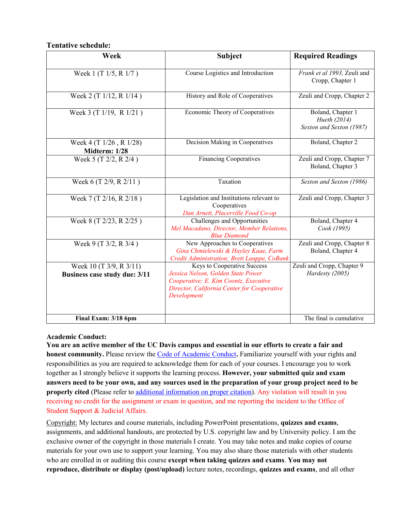**Tentative schedule:** 

| Week                                                            | <b>Subject</b>                                                                                                                                                           | <b>Required Readings</b>                                      |
|-----------------------------------------------------------------|--------------------------------------------------------------------------------------------------------------------------------------------------------------------------|---------------------------------------------------------------|
| Week 1 (T $1/5$ , R $1/7$ )                                     | Course Logistics and Introduction                                                                                                                                        | Frank et al 1993, Zeuli and<br>Cropp, Chapter 1               |
| Week 2 (T 1/12, R 1/14)                                         | History and Role of Cooperatives                                                                                                                                         | Zeuli and Cropp, Chapter 2                                    |
| Week 3 (T 1/19, R 1/21)                                         | Economic Theory of Cooperatives                                                                                                                                          | Boland, Chapter 1<br>Hueth (2014)<br>Sexton and Sexton (1987) |
| Week 4 (T 1/26, R 1/28)<br>Midterm: 1/28                        | Decision Making in Cooperatives                                                                                                                                          | Boland, Chapter 2                                             |
| Week 5 (T 2/2, R 2/4)                                           | <b>Financing Cooperatives</b>                                                                                                                                            | Zeuli and Cropp, Chapter 7<br>Boland, Chapter 3               |
| Week 6 (T 2/9, R 2/11)                                          | Taxation                                                                                                                                                                 | Sexton and Sexton (1986)                                      |
| Week 7 (T 2/16, R 2/18)                                         | Legislation and Institutions relevant to<br>Cooperatives<br>Dan Arnett, Placerville Food Co-op                                                                           | Zeuli and Cropp, Chapter 3                                    |
| Week 8 (T 2/23, R 2/25)                                         | Challenges and Opportunities<br>Mel Macadano, Director, Member Relations,<br><b>Blue Diamond</b>                                                                         | Boland, Chapter 4<br>Cook (1995)                              |
| Week 9 (T 3/2, R 3/4)                                           | New Approaches to Cooperatives<br>Gina Chmielewski & Hayley Kaae, Farm<br>Credit Administration; Brett Lauppe, CoBank                                                    | Zeuli and Cropp, Chapter 8<br>Boland, Chapter 4               |
| Week 10 (T 3/9, R 3/11)<br><b>Business case study due: 3/11</b> | Keys to Cooperative Success<br>Jessica Nelson, Golden State Power<br>Cooperative; E. Kim Coontz, Executive<br>Director, California Center for Cooperative<br>Development | Zeuli and Cropp, Chapter 9<br>Hardesty (2005)                 |
| Final Exam: 3/18 6pm                                            |                                                                                                                                                                          | The final is cumulative                                       |

## **Academic Conduct:**

**You are an active member of the UC Davis campus and essential in our efforts to create a fair and honest community.** Please review the Code of [Academic Conduct](http://sja.ucdavis.edu/files/cac.pdf)**.** Familiarize yourself with your rights and responsibilities as you are required to acknowledge them for each of your courses. I encourage you to work together as I strongly believe it supports the learning process. **However, your submitted quiz and exam answers need to be your own, and any sources used in the preparation of your group project need to be properly cited** (Please refer to [additional information on proper citation\)](http://guides.lib.ucdavis.edu/citations). Any violation will result in you receiving no credit for the assignment or exam in question, and me reporting the incident to the Office of Student Support & Judicial Affairs.

Copyright: My lectures and course materials, including PowerPoint presentations, **quizzes and exams**, assignments, and additional handouts, are protected by U.S. copyright law and by University policy. I am the exclusive owner of the copyright in those materials I create. You may take notes and make copies of course materials for your own use to support your learning. You may also share those materials with other students who are enrolled in or auditing this course **except when taking quizzes and exams**. **You may not reproduce, distribute or display (post/upload)** lecture notes, recordings, **quizzes and exams**, and all other